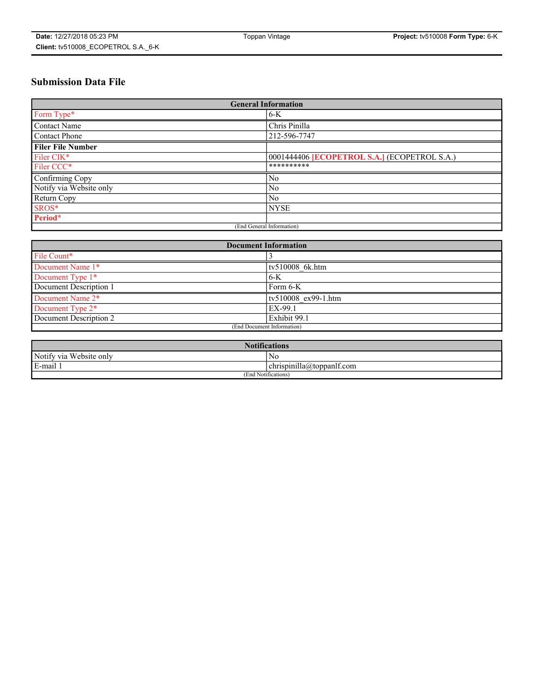## **Submission Data File**

| <b>General Information</b> |                                                   |
|----------------------------|---------------------------------------------------|
| Form Type*                 | $6 - K$                                           |
| Contact Name               | Chris Pinilla                                     |
| <b>Contact Phone</b>       | 212-596-7747                                      |
| <b>Filer File Number</b>   |                                                   |
| Filer CIK <sup>*</sup>     | 0001444406 <b>ECOPETROL S.A.</b> (ECOPETROL S.A.) |
| Filer CCC <sup>*</sup>     | **********                                        |
| Confirming Copy            | No                                                |
| Notify via Website only    | N <sub>0</sub>                                    |
| Return Copy                | N <sub>0</sub>                                    |
| SROS*                      | <b>NYSE</b>                                       |
| Period*                    |                                                   |
| (End General Information)  |                                                   |

| <b>Document Information</b> |                     |
|-----------------------------|---------------------|
| File Count*                 |                     |
| Document Name 1*            | tv510008 6k.htm     |
| Document Type 1*            | $6-K$               |
| Document Description 1      | Form 6-K            |
| Document Name 2*            | tv510008 ex99-1.htm |
| Document Type 2*            | EX-99.1             |
| Document Description 2      | Exhibit 99.1        |
| (End Document Information)  |                     |

| <b>Notifications</b>       |                                 |  |
|----------------------------|---------------------------------|--|
| Notify via<br>Website only | N <sub>0</sub>                  |  |
| $E$ -mail 1                | <br>chrispinilla(a)toppanif.com |  |
| (End Notifications)        |                                 |  |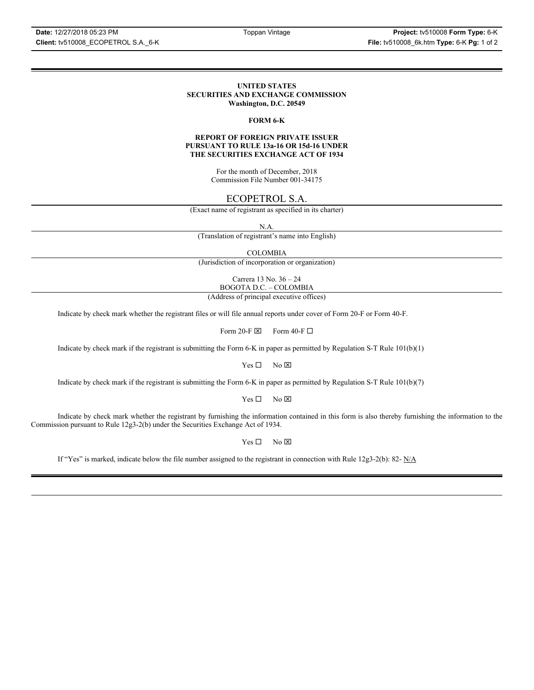### **UNITED STATES SECURITIES AND EXCHANGE COMMISSION Washington, D.C. 20549**

## **FORM 6-K**

## **REPORT OF FOREIGN PRIVATE ISSUER PURSUANT TO RULE 13a-16 OR 15d-16 UNDER THE SECURITIES EXCHANGE ACT OF 1934**

For the month of December, 2018 Commission File Number 001-34175

## ECOPETROL S.A.

(Exact name of registrant as specified in its charter)

N.A.

(Translation of registrant's name into English)

COLOMBIA

(Jurisdiction of incorporation or organization)

Carrera 13 No. 36 – 24 BOGOTA D.C. – COLOMBIA

(Address of principal executive offices)

Indicate by check mark whether the registrant files or will file annual reports under cover of Form 20-F or Form 40-F.

Form 20-F  $\boxtimes$  Form 40-F  $\Box$ 

Indicate by check mark if the registrant is submitting the Form 6-K in paper as permitted by Regulation S-T Rule 101(b)(1)

 $Yes \Box$  No  $\boxtimes$ 

Indicate by check mark if the registrant is submitting the Form 6-K in paper as permitted by Regulation S-T Rule 101(b)(7)

 $Yes \Box$  No  $\boxtimes$ 

Indicate by check mark whether the registrant by furnishing the information contained in this form is also thereby furnishing the information to the Commission pursuant to Rule 12g3-2(b) under the Securities Exchange Act of 1934.

 $Yes \Box$  No  $\boxtimes$ 

If "Yes" is marked, indicate below the file number assigned to the registrant in connection with Rule 12g3-2(b): 82-  $N/A$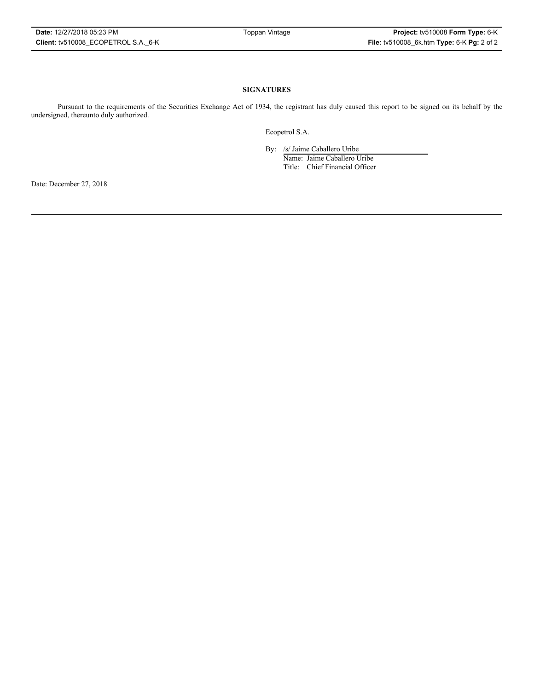## **SIGNATURES**

Pursuant to the requirements of the Securities Exchange Act of 1934, the registrant has duly caused this report to be signed on its behalf by the undersigned, thereunto duly authorized.

Ecopetrol S.A.

By: /s/ Jaime Caballero Uribe

Name: Jaime Caballero Uribe Title: Chief Financial Officer

Date: December 27, 2018